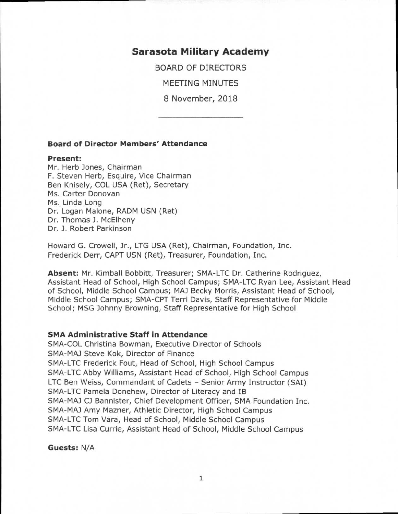# **Sarasota Military Academy**

BOARD OF DIRECTORS

MEETING MINUTES

8 November, 2018

#### **Board of Director Members' Attendance**

#### **Present:**

Mr. Herb Jones, Chairman F. Steven Herb, Esquire, Vice Chairman Ben Knisely, COL USA (Ret), Secretary Ms. Carter Donovan Ms. Linda Long Dr. Logan Malone, RADM USN (Ret) Dr. Thomas J. McElheny Dr. J. Robert Parkinson

Howard G. Crowell, Jr., LTG USA (Ret), Chairman, Foundation, Inc. Frederick Derr, CAPT USN (Ret), Treasurer, Foundation, Inc.

**Absent:** Mr. Kimball Bobbitt, Treasurer; SMA-LTC Dr. Catherine Rodriguez, Assistant Head of School, High School Campus; SMA-LTC Ryan Lee, Assistant Head of School, Middle School Campus; MAJ Becky Morris, Assistant Head of School, Middle School Campus; SMA-CPT Terri Davis, Staff Representative for Middle School; MSG Johnny Browning, Staff Representative for High School

### **SMA Administrative Staff in Attendance**

SMA-COL Christina Bowman, Executive Director of Schools SMA-MAJ Steve Kok, Director of Finance SMA-LTC Frederick Fout, Head of School, High School Campus SMA-LTC Abby Williams, Assistant Head of School, High School Campus LTC Ben Weiss, Commandant of Cadets - Senior Army Instructor (SAI) SMA-LTC Pamela Donehew, Director of Literacy and IB SMA-MAJ CJ Bannister, Chief Development Officer, SMA Foundation Inc. SMA-MAJ Amy Mazner, Athletic Director, High School Campus SMA-LTC Tom Vara, Head of School, Middle School Campus SMA-LTC Lisa Currie, Assistant Head of School, Middle School Campus

**Guests:** N/A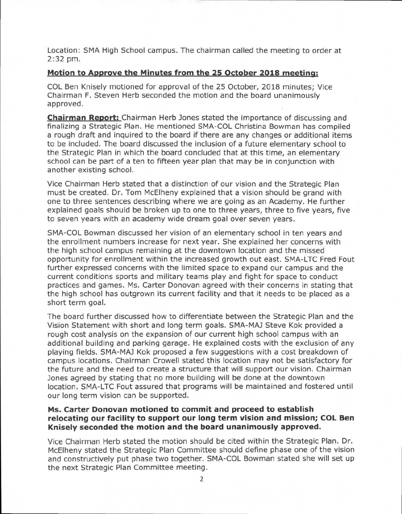Location: SMA High School campus. The chairman called the meeting to order at 2:32 pm.

### **Motion to Approve the Minutes from the 25 October 2018 meeting:**

COL Ben Knisely motioned for approval of the 25 October, 2018 minutes; Vice Chairman F. Steven Herb seconded the motion and the board unanimously approved.

**Chairman Report:** Chairman Herb Jones stated the importance of discussing and finalizing a Strategic Plan. He mentioned SMA-COL Christina Bowman has compiled a rough draft and inquired to the board if there are any changes or additional items to be included. The board discussed the inclusion of a future elementary school to the Strategic Plan in which the board concluded that at this time, an elementary school can be part of a ten to fifteen year plan that may be in conjunction with another existing school.

Vice Chairman Herb stated that a distinction of our vision and the Strategic Plan must be created. Dr. Tom McElheny explained that a vision should be grand with one to three sentences describing where we are going as an Academy. He further explained goals should be broken up to one to three years, three to five years, five to seven years with an academy wide dream goal over seven years.

SMA-COL Bowman discussed her vision of an elementary school in ten years and the enrollment numbers increase for next year. She explained her concerns with the high school campus remaining at the downtown location and the missed opportunity for enrollment within the increased growth out east. SMA-LTC Fred Fout further expressed concerns with the limited space to expand our campus and the current conditions sports and military teams play and fight for space to conduct practices and games. Ms. Carter Donovan agreed with their concerns in stating that the high school has outgrown its current facility and that it needs to be placed as a short term goal.

The board further discussed how to differentiate between the Strategic Plan and the Vision Statement with short and long term goals. SMA-MAJ Steve Kok provided a rough cost analysis on the expansion of our current high school campus with an additional building and parking garage. He explained costs with the exclusion of any playing fields. SMA-MAJ Kok proposed a few suggestions with a cost breakdown of campus locations. Chairman Crowell stated this location may not be satisfactory for the future and the need to create a structure that will support our vision. Chairman Jones agreed by stating that no more building will be done at the downtown location. SMA-LTC Fout assured that programs will be maintained and fostered until our long term vision can be supported.

# **Ms. Carter Donovan motioned to commit and proceed to establish relocating our facility to support our long term vision and mission; COL Ben Knisely seconded the motion and the board unanimously approved.**

Vice Chairman Herb stated the motion should be cited within the Strategic Plan. Dr. McElheny stated the Strategic Plan Committee should define phase one of the vision and constructively put phase two together. SMA-COL Bowman stated she will set up the next Strategic Plan Committee meeting.